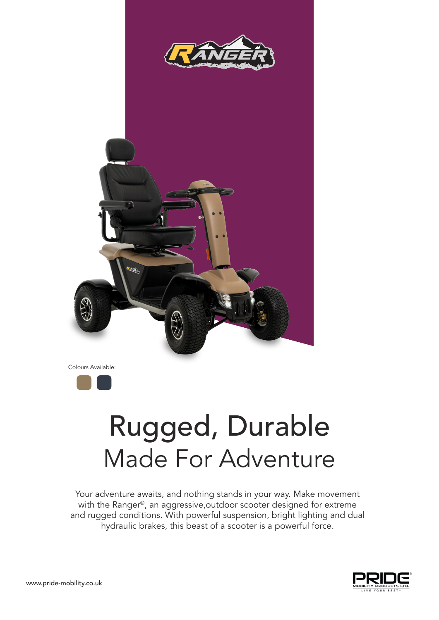



Colours Available:



## Rugged, Durable Made For Adventure

Your adventure awaits, and nothing stands in your way. Make movement with the Ranger®, an aggressive, outdoor scooter designed for extreme and rugged conditions. With powerful suspension, bright lighting and dual hydraulic brakes, this beast of a scooter is a powerful force.